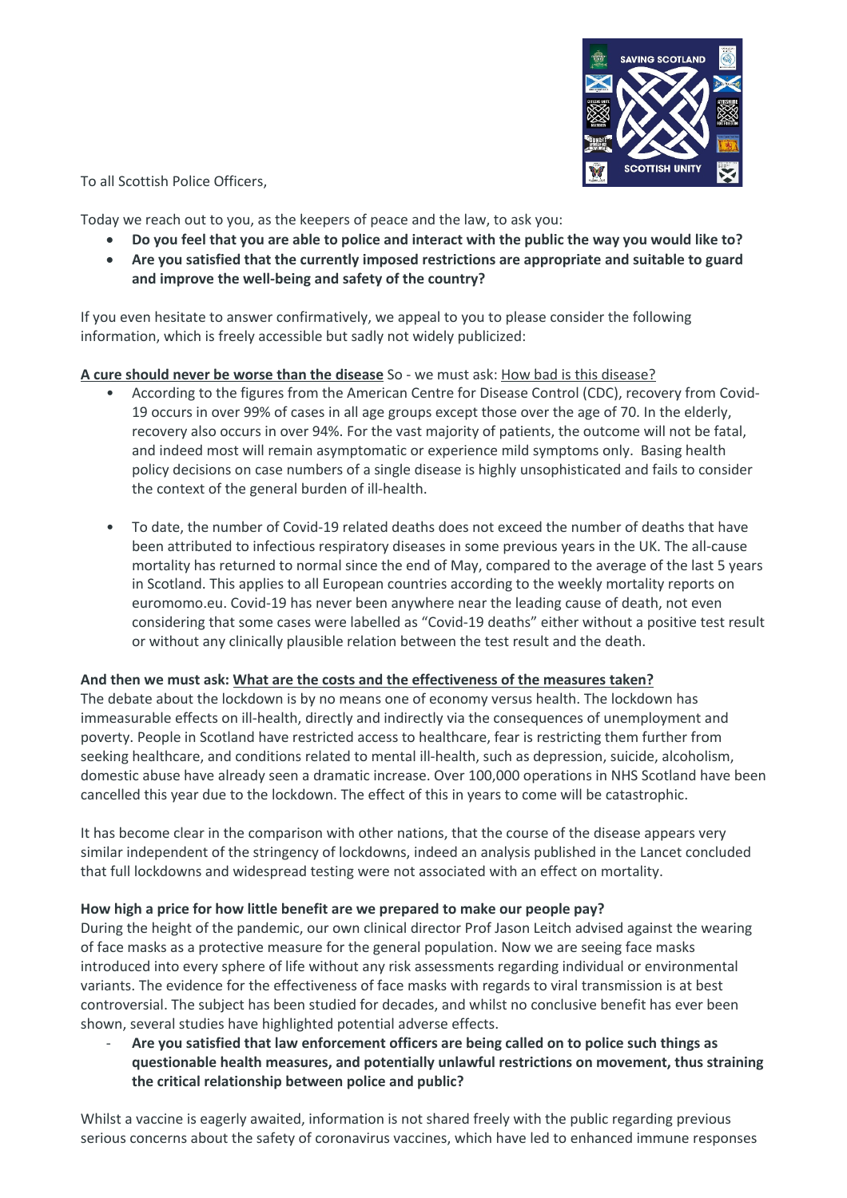

To all Scottish Police Officers,

Today we reach out to you, as the keepers of peace and the law, to ask you:

- **Do you feel that you are able to police and interact with the public the way you would like to?**
- **Are you satisfied that the currently imposed restrictions are appropriate and suitable to guard and improve the well-being and safety of the country?**

If you even hesitate to answer confirmatively, we appeal to you to please consider the following information, which is freely accessible but sadly not widely publicized:

# **A cure should never be worse than the disease** So - we must ask: How bad is this disease?

- According to the figures from the American Centre for Disease Control (CDC), recovery from Covid-19 occurs in over 99% of cases in all age groups except those over the age of 70. In the elderly, recovery also occurs in over 94%. For the vast majority of patients, the outcome will not be fatal, and indeed most will remain asymptomatic or experience mild symptoms only. Basing health policy decisions on case numbers of a single disease is highly unsophisticated and fails to consider the context of the general burden of ill-health.
- To date, the number of Covid-19 related deaths does not exceed the number of deaths that have been attributed to infectious respiratory diseases in some previous years in the UK. The all-cause mortality has returned to normal since the end of May, compared to the average of the last 5 years in Scotland. This applies to all European countries according to the weekly mortality reports on euromomo.eu. Covid-19 has never been anywhere near the leading cause of death, not even considering that some cases were labelled as "Covid-19 deaths" either without a positive test result or without any clinically plausible relation between the test result and the death.

## **And then we must ask: What are the costs and the effectiveness of the measures taken?**

The debate about the lockdown is by no means one of economy versus health. The lockdown has immeasurable effects on ill-health, directly and indirectly via the consequences of unemployment and poverty. People in Scotland have restricted access to healthcare, fear is restricting them further from seeking healthcare, and conditions related to mental ill-health, such as depression, suicide, alcoholism, domestic abuse have already seen a dramatic increase. Over 100,000 operations in NHS Scotland have been cancelled this year due to the lockdown. The effect of this in years to come will be catastrophic.

It has become clear in the comparison with other nations, that the course of the disease appears very similar independent of the stringency of lockdowns, indeed an analysis published in the Lancet concluded that full lockdowns and widespread testing were not associated with an effect on mortality.

## **How high a price for how little benefit are we prepared to make our people pay?**

During the height of the pandemic, our own clinical director Prof Jason Leitch advised against the wearing of face masks as a protective measure for the general population. Now we are seeing face masks introduced into every sphere of life without any risk assessments regarding individual or environmental variants. The evidence for the effectiveness of face masks with regards to viral transmission is at best controversial. The subject has been studied for decades, and whilst no conclusive benefit has ever been shown, several studies have highlighted potential adverse effects.

- **Are you satisfied that law enforcement officers are being called on to police such things as questionable health measures, and potentially unlawful restrictions on movement, thus straining the critical relationship between police and public?**

Whilst a vaccine is eagerly awaited, information is not shared freely with the public regarding previous serious concerns about the safety of coronavirus vaccines, which have led to enhanced immune responses